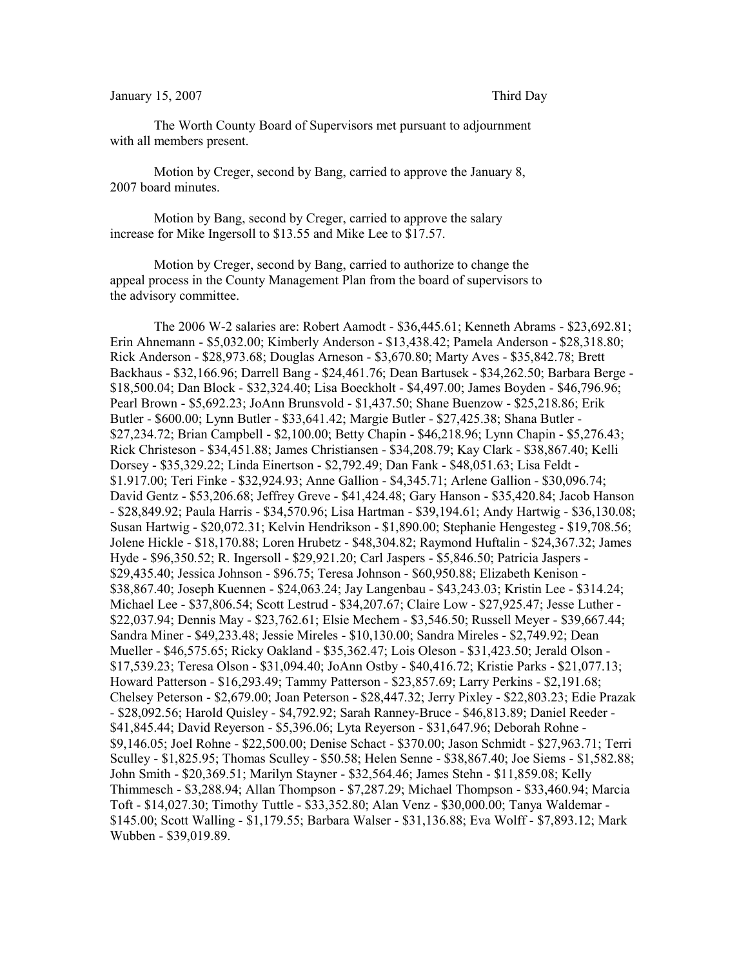## January 15, 2007 Third Day

The Worth County Board of Supervisors met pursuant to adjournment with all members present.

Motion by Creger, second by Bang, carried to approve the January 8, 2007 board minutes.

Motion by Bang, second by Creger, carried to approve the salary increase for Mike Ingersoll to \$13.55 and Mike Lee to \$17.57.

Motion by Creger, second by Bang, carried to authorize to change the appeal process in the County Management Plan from the board of supervisors to the advisory committee.

The 2006 W-2 salaries are: Robert Aamodt - \$36,445.61; Kenneth Abrams - \$23,692.81; Erin Ahnemann - \$5,032.00; Kimberly Anderson - \$13,438.42; Pamela Anderson - \$28,318.80; Rick Anderson - \$28,973.68; Douglas Arneson - \$3,670.80; Marty Aves - \$35,842.78; Brett Backhaus - \$32,166.96; Darrell Bang - \$24,461.76; Dean Bartusek - \$34,262.50; Barbara Berge - \$18,500.04; Dan Block - \$32,324.40; Lisa Boeckholt - \$4,497.00; James Boyden - \$46,796.96; Pearl Brown - \$5,692.23; JoAnn Brunsvold - \$1,437.50; Shane Buenzow - \$25,218.86; Erik Butler - \$600.00; Lynn Butler - \$33,641.42; Margie Butler - \$27,425.38; Shana Butler - \$27,234.72; Brian Campbell - \$2,100.00; Betty Chapin - \$46,218.96; Lynn Chapin - \$5,276.43; Rick Christeson - \$34,451.88; James Christiansen - \$34,208.79; Kay Clark - \$38,867.40; Kelli Dorsey - \$35,329.22; Linda Einertson - \$2,792.49; Dan Fank - \$48,051.63; Lisa Feldt - \$1.917.00; Teri Finke - \$32,924.93; Anne Gallion - \$4,345.71; Arlene Gallion - \$30,096.74; David Gentz - \$53,206.68; Jeffrey Greve - \$41,424.48; Gary Hanson - \$35,420.84; Jacob Hanson - \$28,849.92; Paula Harris - \$34,570.96; Lisa Hartman - \$39,194.61; Andy Hartwig - \$36,130.08; Susan Hartwig - \$20,072.31; Kelvin Hendrikson - \$1,890.00; Stephanie Hengesteg - \$19,708.56; Jolene Hickle - \$18,170.88; Loren Hrubetz - \$48,304.82; Raymond Huftalin - \$24,367.32; James Hyde - \$96,350.52; R. Ingersoll - \$29,921.20; Carl Jaspers - \$5,846.50; Patricia Jaspers - \$29,435.40; Jessica Johnson - \$96.75; Teresa Johnson - \$60,950.88; Elizabeth Kenison - \$38,867.40; Joseph Kuennen - \$24,063.24; Jay Langenbau - \$43,243.03; Kristin Lee - \$314.24; Michael Lee - \$37,806.54; Scott Lestrud - \$34,207.67; Claire Low - \$27,925.47; Jesse Luther - \$22,037.94; Dennis May - \$23,762.61; Elsie Mechem - \$3,546.50; Russell Meyer - \$39,667.44; Sandra Miner - \$49,233.48; Jessie Mireles - \$10,130.00; Sandra Mireles - \$2,749.92; Dean Mueller - \$46,575.65; Ricky Oakland - \$35,362.47; Lois Oleson - \$31,423.50; Jerald Olson - \$17,539.23; Teresa Olson - \$31,094.40; JoAnn Ostby - \$40,416.72; Kristie Parks - \$21,077.13; Howard Patterson - \$16,293.49; Tammy Patterson - \$23,857.69; Larry Perkins - \$2,191.68; Chelsey Peterson - \$2,679.00; Joan Peterson - \$28,447.32; Jerry Pixley - \$22,803.23; Edie Prazak - \$28,092.56; Harold Quisley - \$4,792.92; Sarah Ranney-Bruce - \$46,813.89; Daniel Reeder - \$41,845.44; David Reyerson - \$5,396.06; Lyta Reyerson - \$31,647.96; Deborah Rohne - \$9,146.05; Joel Rohne - \$22,500.00; Denise Schact - \$370.00; Jason Schmidt - \$27,963.71; Terri Sculley - \$1,825.95; Thomas Sculley - \$50.58; Helen Senne - \$38,867.40; Joe Siems - \$1,582.88; John Smith - \$20,369.51; Marilyn Stayner - \$32,564.46; James Stehn - \$11,859.08; Kelly Thimmesch - \$3,288.94; Allan Thompson - \$7,287.29; Michael Thompson - \$33,460.94; Marcia Toft - \$14,027.30; Timothy Tuttle - \$33,352.80; Alan Venz - \$30,000.00; Tanya Waldemar - \$145.00; Scott Walling - \$1,179.55; Barbara Walser - \$31,136.88; Eva Wolff - \$7,893.12; Mark Wubben - \$39,019.89.